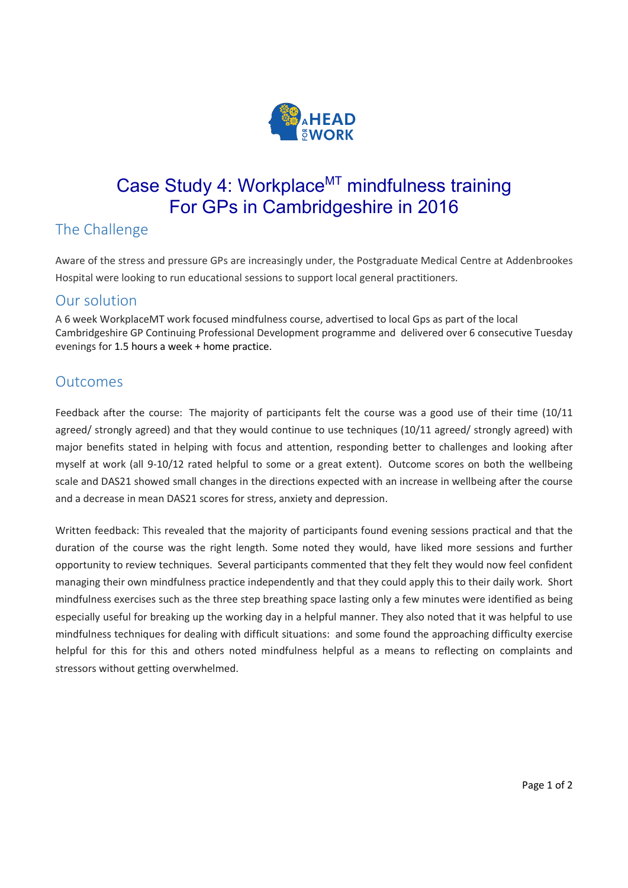

# Case Study 4: Workplace<sup>MT</sup> mindfulness training For GPs in Cambridgeshire in 2016

## The Challenge

Aware of the stress and pressure GPs are increasingly under, the Postgraduate Medical Centre at Addenbrookes Hospital were looking to run educational sessions to support local general practitioners.

#### Our solution

A 6 week WorkplaceMT work focused mindfulness course, advertised to local Gps as part of the local Cambridgeshire GP Continuing Professional Development programme and delivered over 6 consecutive Tuesday evenings for 1.5 hours a week + home practice.

#### **Outcomes**

Feedback after the course: The majority of participants felt the course was a good use of their time (10/11 agreed/ strongly agreed) and that they would continue to use techniques (10/11 agreed/ strongly agreed) with major benefits stated in helping with focus and attention, responding better to challenges and looking after myself at work (all 9-10/12 rated helpful to some or a great extent). Outcome scores on both the wellbeing scale and DAS21 showed small changes in the directions expected with an increase in wellbeing after the course and a decrease in mean DAS21 scores for stress, anxiety and depression.

Written feedback: This revealed that the majority of participants found evening sessions practical and that the duration of the course was the right length. Some noted they would, have liked more sessions and further opportunity to review techniques. Several participants commented that they felt they would now feel confident managing their own mindfulness practice independently and that they could apply this to their daily work. Short mindfulness exercises such as the three step breathing space lasting only a few minutes were identified as being especially useful for breaking up the working day in a helpful manner. They also noted that it was helpful to use mindfulness techniques for dealing with difficult situations: and some found the approaching difficulty exercise helpful for this for this and others noted mindfulness helpful as a means to reflecting on complaints and stressors without getting overwhelmed.